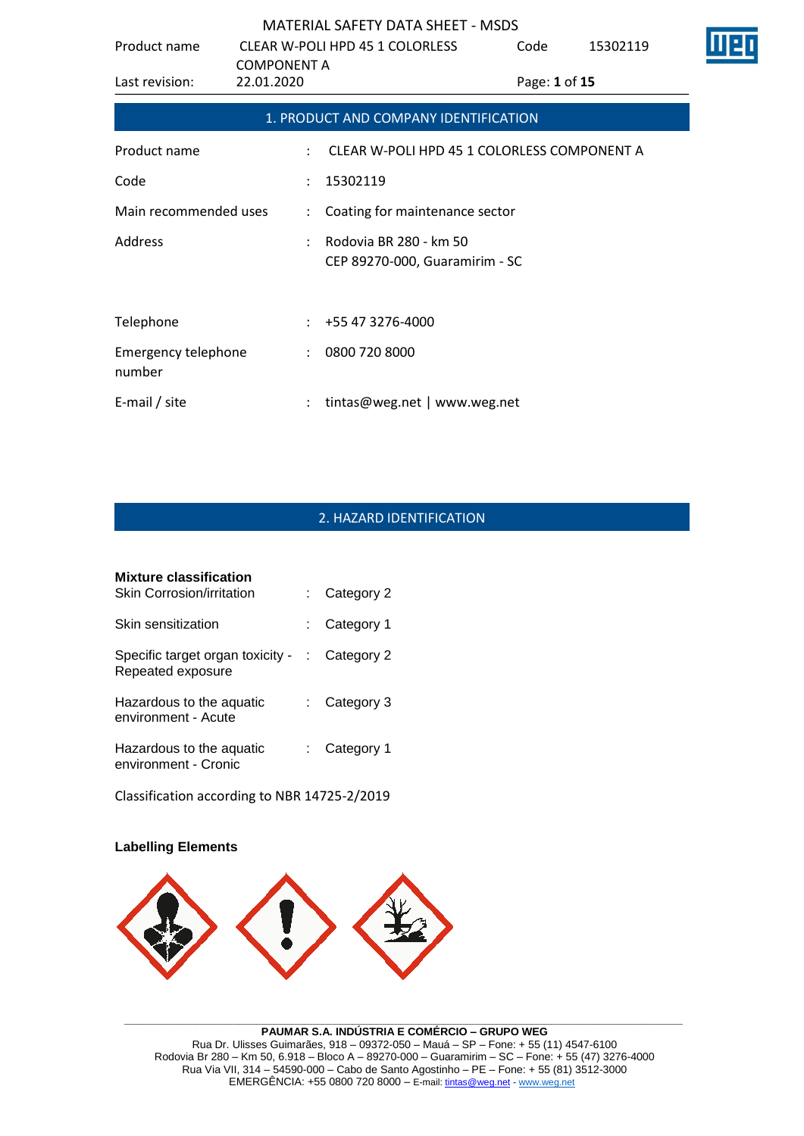| Product name                         |                                  | <b>CLEAR W-POLI HPD 45 1 COLORLESS</b>                   | Code          | 15302119 |  |
|--------------------------------------|----------------------------------|----------------------------------------------------------|---------------|----------|--|
| Last revision:                       | <b>COMPONENT A</b><br>22.01.2020 |                                                          | Page: 1 of 15 |          |  |
|                                      |                                  | 1. PRODUCT AND COMPANY IDENTIFICATION                    |               |          |  |
| Product name                         |                                  | CLEAR W-POLI HPD 45 1 COLORLESS COMPONENT A              |               |          |  |
| Code                                 | $\ddot{\phantom{a}}$             | 15302119                                                 |               |          |  |
| Main recommended uses                | $\mathcal{L}$                    | Coating for maintenance sector                           |               |          |  |
| Address                              |                                  | Rodovia BR 280 - km 50<br>CEP 89270-000, Guaramirim - SC |               |          |  |
|                                      |                                  |                                                          |               |          |  |
| Telephone                            |                                  | +55 47 3276-4000                                         |               |          |  |
| <b>Emergency telephone</b><br>number | $\ddot{\phantom{0}}$             | 0800 720 8000                                            |               |          |  |
| E-mail / site                        |                                  | tintas@weg.net   www.weg.net                             |               |          |  |

# 2. HAZARD IDENTIFICATION

| <b>Mixture classification</b><br><b>Skin Corrosion/irritation</b> |      | Category 2   |
|-------------------------------------------------------------------|------|--------------|
| Skin sensitization                                                | t.   | Category 1   |
| Specific target organ toxicity -<br>Repeated exposure             | di l | Category 2   |
| Hazardous to the aquatic<br>environment - Acute                   |      | Category 3   |
| Hazardous to the aquatic<br>environment - Cronic                  |      | : Category 1 |

Classification according to NBR 14725-2/2019

## **Labelling Elements**



#### **\_\_\_\_\_\_\_\_\_\_\_\_\_\_\_\_\_\_\_\_\_\_\_\_\_\_\_\_\_\_\_\_\_\_\_\_\_\_\_\_\_\_\_\_\_\_\_\_\_\_\_\_\_\_\_\_\_\_\_\_\_\_\_\_\_\_\_\_\_\_\_\_\_\_\_\_\_\_\_\_\_\_\_\_\_\_\_\_\_\_\_\_\_ PAUMAR S.A. INDÚSTRIA E COMÉRCIO – GRUPO WEG** Rua Dr. Ulisses Guimarães, 918 – 09372-050 – Mauá – SP – Fone: + 55 (11) 4547-6100 Rodovia Br 280 – Km 50, 6.918 – Bloco A – 89270-000 – Guaramirim – SC – Fone: + 55 (47) 3276-4000 Rua Via VII, 314 – 54590-000 – Cabo de Santo Agostinho – PE – Fone: + 55 (81) 3512-3000 EMERGËNCIA: +55 0800 720 8000 – E-mail[: tintas@weg.net](mailto:tintas@weg.net) - [www.weg.net](http://www.weg.net/)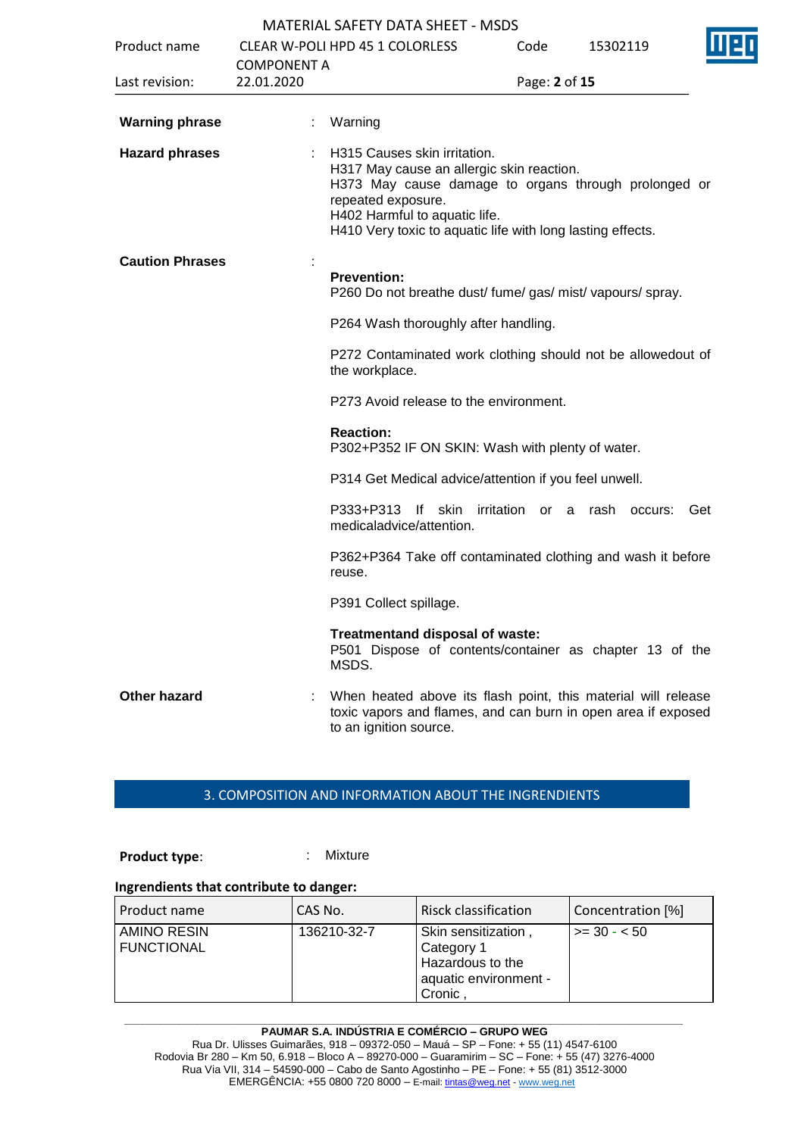|                        |                    | MATERIAL SAFETY DATA SHEET - MSDS                                                                                                                                                                                                                      |                    |              |     |
|------------------------|--------------------|--------------------------------------------------------------------------------------------------------------------------------------------------------------------------------------------------------------------------------------------------------|--------------------|--------------|-----|
| Product name           | <b>COMPONENT A</b> | <b>CLEAR W-POLI HPD 45 1 COLORLESS</b>                                                                                                                                                                                                                 | Code               | 15302119     |     |
| Last revision:         | 22.01.2020         |                                                                                                                                                                                                                                                        | Page: 2 of 15      |              |     |
| <b>Warning phrase</b>  |                    | Warning                                                                                                                                                                                                                                                |                    |              |     |
| <b>Hazard phrases</b>  |                    | H315 Causes skin irritation.<br>H317 May cause an allergic skin reaction.<br>H373 May cause damage to organs through prolonged or<br>repeated exposure.<br>H402 Harmful to aquatic life.<br>H410 Very toxic to aquatic life with long lasting effects. |                    |              |     |
| <b>Caution Phrases</b> |                    | <b>Prevention:</b><br>P260 Do not breathe dust/ fume/ gas/ mist/ vapours/ spray.                                                                                                                                                                       |                    |              |     |
|                        |                    | P264 Wash thoroughly after handling.                                                                                                                                                                                                                   |                    |              |     |
|                        |                    | P272 Contaminated work clothing should not be allowedout of<br>the workplace.                                                                                                                                                                          |                    |              |     |
|                        |                    | P273 Avoid release to the environment.                                                                                                                                                                                                                 |                    |              |     |
|                        |                    | <b>Reaction:</b><br>P302+P352 IF ON SKIN: Wash with plenty of water.                                                                                                                                                                                   |                    |              |     |
|                        |                    | P314 Get Medical advice/attention if you feel unwell.                                                                                                                                                                                                  |                    |              |     |
|                        |                    | P333+P313<br>$\mathsf{If}$<br>skin<br>medicaladvice/attention.                                                                                                                                                                                         | irritation<br>or a | rash occurs: | Get |
|                        |                    | P362+P364 Take off contaminated clothing and wash it before<br>reuse.                                                                                                                                                                                  |                    |              |     |
|                        |                    | P391 Collect spillage.                                                                                                                                                                                                                                 |                    |              |     |
|                        |                    | Treatmentand disposal of waste:<br>P501 Dispose of contents/container as chapter 13 of the<br>MSDS.                                                                                                                                                    |                    |              |     |
| <b>Other hazard</b>    |                    | When heated above its flash point, this material will release<br>toxic vapors and flames, and can burn in open area if exposed<br>to an ignition source.                                                                                               |                    |              |     |

## 3. COMPOSITION AND INFORMATION ABOUT THE INGRENDIENTS

**Product type:** : Mixture

## **Ingrendients that contribute to danger:**

| Product name                            | CAS No.     | <b>Risck classification</b>                                                              | Concentration [%] |
|-----------------------------------------|-------------|------------------------------------------------------------------------------------------|-------------------|
| <b>AMINO RESIN</b><br><b>FUNCTIONAL</b> | 136210-32-7 | Skin sensitization,<br>Category 1<br>Hazardous to the<br>aquatic environment -<br>Cronic | $1 > = 30 - 50$   |

**\_\_\_\_\_\_\_\_\_\_\_\_\_\_\_\_\_\_\_\_\_\_\_\_\_\_\_\_\_\_\_\_\_\_\_\_\_\_\_\_\_\_\_\_\_\_\_\_\_\_\_\_\_\_\_\_\_\_\_\_\_\_\_\_\_\_\_\_\_\_\_\_\_\_\_\_\_\_\_\_\_\_\_\_\_\_\_\_\_\_\_\_\_ PAUMAR S.A. INDÚSTRIA E COMÉRCIO – GRUPO WEG** Rua Dr. Ulisses Guimarães, 918 – 09372-050 – Mauá – SP – Fone: + 55 (11) 4547-6100 Rodovia Br 280 – Km 50, 6.918 – Bloco A – 89270-000 – Guaramirim – SC – Fone: + 55 (47) 3276-4000 Rua Via VII, 314 – 54590-000 – Cabo de Santo Agostinho – PE – Fone: + 55 (81) 3512-3000 EMERGËNCIA: +55 0800 720 8000 – E-mail[: tintas@weg.net](mailto:tintas@weg.net) - [www.weg.net](http://www.weg.net/)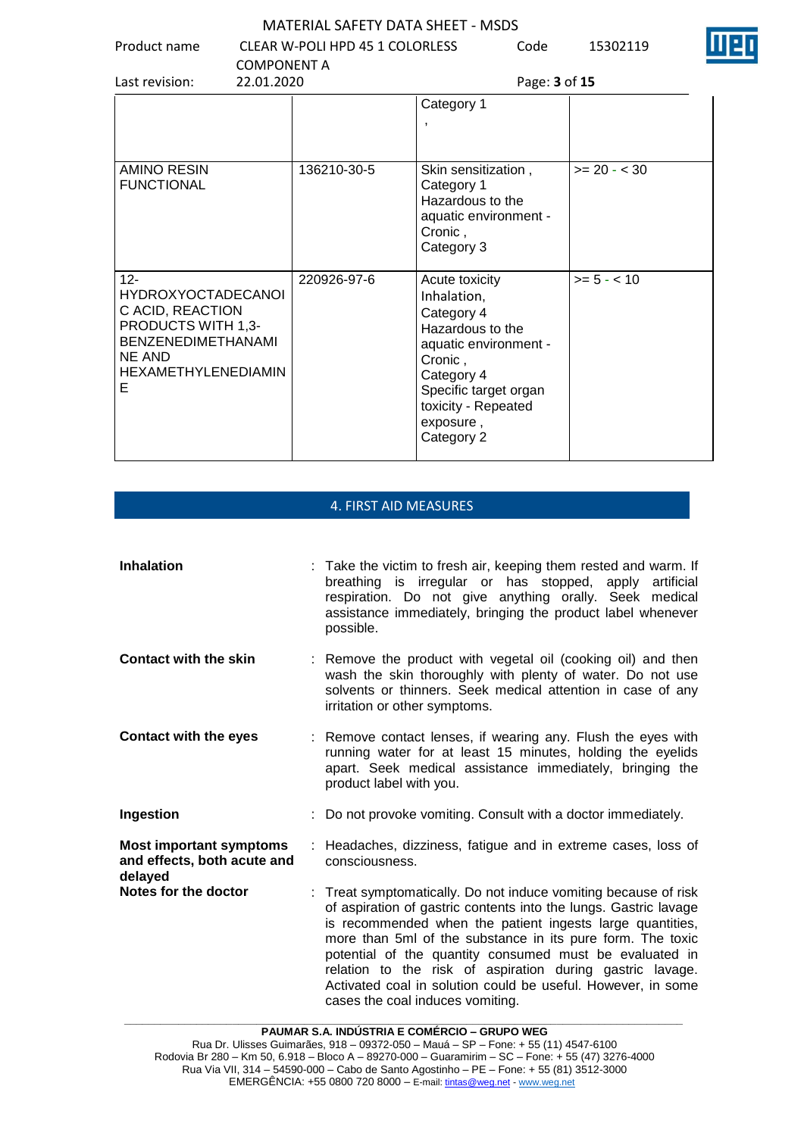| Product name                                                                         | <b>COMPONENT A</b> | <b>MATERIAL SAFETY DATA SHEET - MSDS</b><br>CLEAR W-POLI HPD 45 1 COLORLESS |                                                                                                         | Code          | 15302119       |  |
|--------------------------------------------------------------------------------------|--------------------|-----------------------------------------------------------------------------|---------------------------------------------------------------------------------------------------------|---------------|----------------|--|
| Last revision:                                                                       | 22.01.2020         |                                                                             |                                                                                                         | Page: 3 of 15 |                |  |
|                                                                                      |                    |                                                                             | Category 1<br>$\overline{\phantom{a}}$                                                                  |               |                |  |
| AMINO RESIN<br><b>FUNCTIONAL</b>                                                     |                    | 136210-30-5                                                                 | Skin sensitization,<br>Category 1<br>Hazardous to the<br>aquatic environment -<br>Cronic,<br>Category 3 |               | $>= 20 - < 30$ |  |
| $12 -$<br><b>HYDROXYOCTADECANOI</b><br>C ACID, REACTION<br><b>PRODUCTS WITH 1,3-</b> |                    | 220926-97-6                                                                 | Acute toxicity<br>Inhalation,<br>Category 4<br>Hazardous to the                                         |               | $>= 5 - < 10$  |  |

aquatic environment -

Specific target organ toxicity - Repeated

Cronic , Category 4

exposure , Category 2

# 4. FIRST AID MEASURES

BENZENEDIMETHANAMI

HEXAMETHYLENEDIAMIN

NE AND

E

| <b>Inhalation</b>                                                        | : Take the victim to fresh air, keeping them rested and warm. If<br>breathing is irregular or has stopped, apply artificial<br>respiration. Do not give anything orally. Seek medical<br>assistance immediately, bringing the product label whenever<br>possible.                                                                                                                                                                                                                          |
|--------------------------------------------------------------------------|--------------------------------------------------------------------------------------------------------------------------------------------------------------------------------------------------------------------------------------------------------------------------------------------------------------------------------------------------------------------------------------------------------------------------------------------------------------------------------------------|
| <b>Contact with the skin</b>                                             | : Remove the product with vegetal oil (cooking oil) and then<br>wash the skin thoroughly with plenty of water. Do not use<br>solvents or thinners. Seek medical attention in case of any<br>irritation or other symptoms.                                                                                                                                                                                                                                                                  |
| <b>Contact with the eyes</b>                                             | : Remove contact lenses, if wearing any. Flush the eyes with<br>running water for at least 15 minutes, holding the eyelids<br>apart. Seek medical assistance immediately, bringing the<br>product label with you.                                                                                                                                                                                                                                                                          |
| Ingestion                                                                | : Do not provoke vomiting. Consult with a doctor immediately.                                                                                                                                                                                                                                                                                                                                                                                                                              |
| <b>Most important symptoms</b><br>and effects, both acute and<br>delayed | : Headaches, dizziness, fatigue and in extreme cases, loss of<br>consciousness.                                                                                                                                                                                                                                                                                                                                                                                                            |
| Notes for the doctor                                                     | : Treat symptomatically. Do not induce vomiting because of risk<br>of aspiration of gastric contents into the lungs. Gastric lavage<br>is recommended when the patient ingests large quantities,<br>more than 5ml of the substance in its pure form. The toxic<br>potential of the quantity consumed must be evaluated in<br>relation to the risk of aspiration during gastric lavage.<br>Activated coal in solution could be useful. However, in some<br>cases the coal induces vomiting. |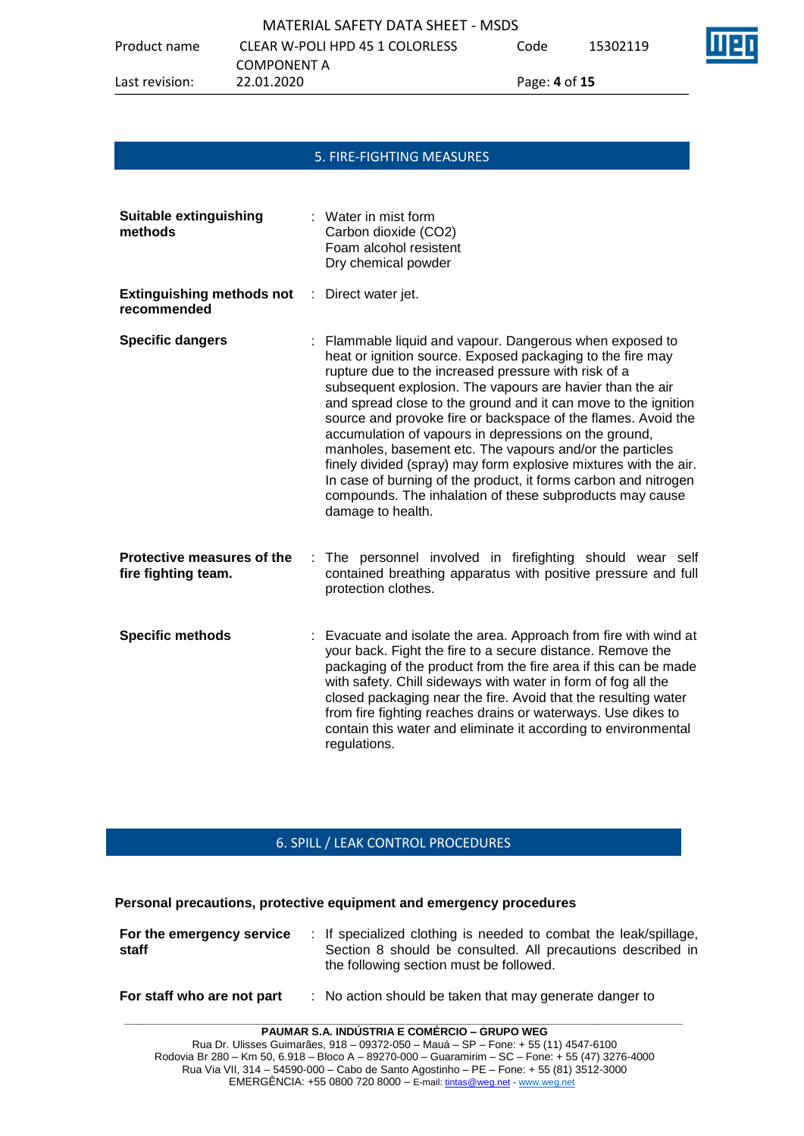|                | MATERIAL SAFETY DATA SHEET - MSDS |               |          |   |
|----------------|-----------------------------------|---------------|----------|---|
| Product name   | CLEAR W-POLI HPD 45 1 COLORLESS   | Code          | 15302119 | T |
|                | COMPONENT A                       |               |          |   |
| Last revision: | 22.01.2020                        | Page: 4 of 15 |          |   |

# 5. FIRE-FIGHTING MEASURES

| <b>Suitable extinguishing</b><br>methods             | : Water in mist form<br>Carbon dioxide (CO2)<br>Foam alcohol resistent<br>Dry chemical powder                                                                                                                                                                                                                                                                                                                                                                                                                                                                                                                                                                                                                               |
|------------------------------------------------------|-----------------------------------------------------------------------------------------------------------------------------------------------------------------------------------------------------------------------------------------------------------------------------------------------------------------------------------------------------------------------------------------------------------------------------------------------------------------------------------------------------------------------------------------------------------------------------------------------------------------------------------------------------------------------------------------------------------------------------|
| <b>Extinguishing methods not</b><br>÷<br>recommended | Direct water jet.                                                                                                                                                                                                                                                                                                                                                                                                                                                                                                                                                                                                                                                                                                           |
| <b>Specific dangers</b>                              | : Flammable liquid and vapour. Dangerous when exposed to<br>heat or ignition source. Exposed packaging to the fire may<br>rupture due to the increased pressure with risk of a<br>subsequent explosion. The vapours are havier than the air<br>and spread close to the ground and it can move to the ignition<br>source and provoke fire or backspace of the flames. Avoid the<br>accumulation of vapours in depressions on the ground,<br>manholes, basement etc. The vapours and/or the particles<br>finely divided (spray) may form explosive mixtures with the air.<br>In case of burning of the product, it forms carbon and nitrogen<br>compounds. The inhalation of these subproducts may cause<br>damage to health. |
| Protective measures of the<br>fire fighting team.    | The personnel involved in firefighting should wear self<br>contained breathing apparatus with positive pressure and full<br>protection clothes.                                                                                                                                                                                                                                                                                                                                                                                                                                                                                                                                                                             |
| <b>Specific methods</b>                              | Evacuate and isolate the area. Approach from fire with wind at<br>your back. Fight the fire to a secure distance. Remove the<br>packaging of the product from the fire area if this can be made<br>with safety. Chill sideways with water in form of fog all the<br>closed packaging near the fire. Avoid that the resulting water<br>from fire fighting reaches drains or waterways. Use dikes to<br>contain this water and eliminate it according to environmental<br>regulations.                                                                                                                                                                                                                                        |

# 6. SPILL / LEAK CONTROL PROCEDURES

**Personal precautions, protective equipment and emergency procedures**

| For the emergency service<br>staff | : If specialized clothing is needed to combat the leak/spillage,<br>Section 8 should be consulted. All precautions described in<br>the following section must be followed. |
|------------------------------------|----------------------------------------------------------------------------------------------------------------------------------------------------------------------------|
|                                    |                                                                                                                                                                            |

## **For staff who are not part** : No action should be taken that may generate danger to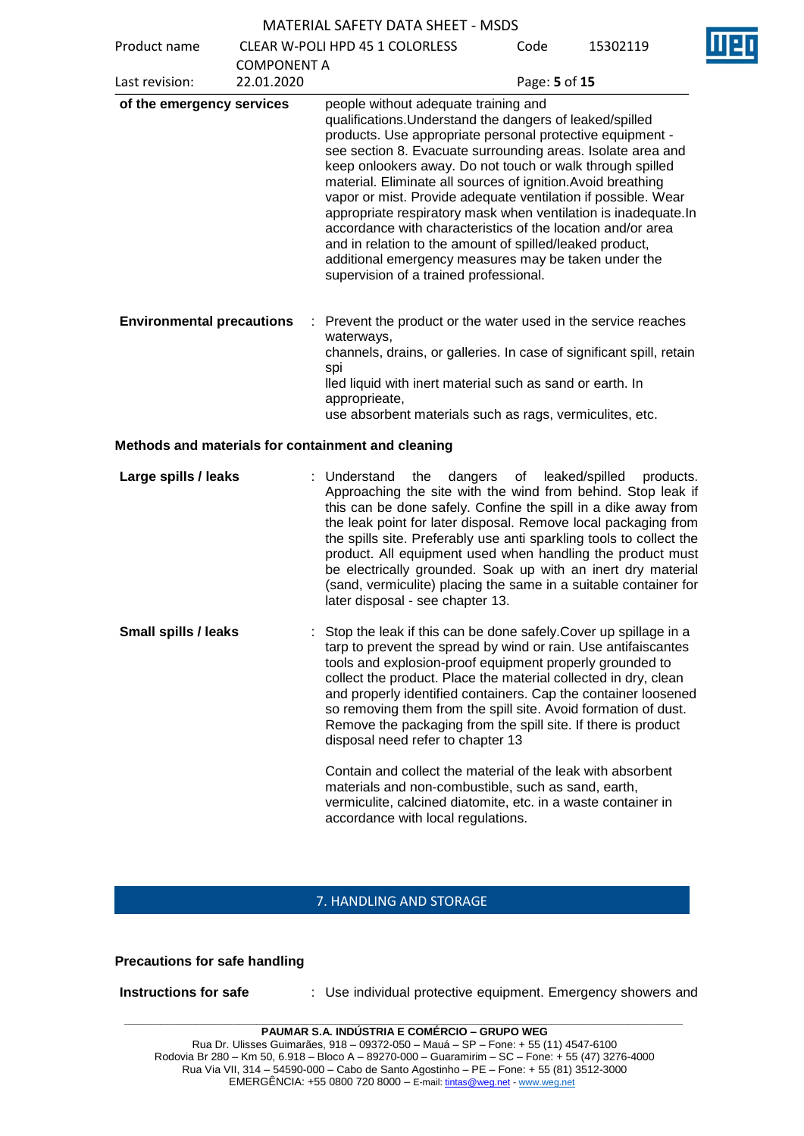|                                  |                    | <b>MATERIAL SAFETY DATA SHEET - MSDS</b>                                                                                                                                                                                                                                                                                                                                                                                                                                                                                                                                                                                                                                                                                  |               |                             |
|----------------------------------|--------------------|---------------------------------------------------------------------------------------------------------------------------------------------------------------------------------------------------------------------------------------------------------------------------------------------------------------------------------------------------------------------------------------------------------------------------------------------------------------------------------------------------------------------------------------------------------------------------------------------------------------------------------------------------------------------------------------------------------------------------|---------------|-----------------------------|
| Product name                     |                    | <b>CLEAR W-POLI HPD 45 1 COLORLESS</b>                                                                                                                                                                                                                                                                                                                                                                                                                                                                                                                                                                                                                                                                                    | Code          | 15302119                    |
| Last revision:                   | <b>COMPONENT A</b> |                                                                                                                                                                                                                                                                                                                                                                                                                                                                                                                                                                                                                                                                                                                           |               |                             |
|                                  | 22.01.2020         |                                                                                                                                                                                                                                                                                                                                                                                                                                                                                                                                                                                                                                                                                                                           | Page: 5 of 15 |                             |
| of the emergency services        |                    | people without adequate training and<br>qualifications. Understand the dangers of leaked/spilled<br>products. Use appropriate personal protective equipment -<br>see section 8. Evacuate surrounding areas. Isolate area and<br>keep onlookers away. Do not touch or walk through spilled<br>material. Eliminate all sources of ignition. Avoid breathing<br>vapor or mist. Provide adequate ventilation if possible. Wear<br>appropriate respiratory mask when ventilation is inadequate.In<br>accordance with characteristics of the location and/or area<br>and in relation to the amount of spilled/leaked product,<br>additional emergency measures may be taken under the<br>supervision of a trained professional. |               |                             |
| <b>Environmental precautions</b> | ÷                  | Prevent the product or the water used in the service reaches<br>waterways,<br>channels, drains, or galleries. In case of significant spill, retain<br>spi<br>lled liquid with inert material such as sand or earth. In<br>approprieate,<br>use absorbent materials such as rags, vermiculites, etc.                                                                                                                                                                                                                                                                                                                                                                                                                       |               |                             |
|                                  |                    | Methods and materials for containment and cleaning                                                                                                                                                                                                                                                                                                                                                                                                                                                                                                                                                                                                                                                                        |               |                             |
| Large spills / leaks             |                    | : Understand<br>the<br>dangers<br>Approaching the site with the wind from behind. Stop leak if<br>this can be done safely. Confine the spill in a dike away from<br>the leak point for later disposal. Remove local packaging from<br>the spills site. Preferably use anti sparkling tools to collect the<br>product. All equipment used when handling the product must<br>be electrically grounded. Soak up with an inert dry material<br>(sand, vermiculite) placing the same in a suitable container for<br>later disposal - see chapter 13.                                                                                                                                                                           | of            | leaked/spilled<br>products. |
| <b>Small spills / leaks</b>      |                    | Stop the leak if this can be done safely. Cover up spillage in a<br>tarp to prevent the spread by wind or rain. Use antifaiscantes<br>tools and explosion-proof equipment properly grounded to<br>collect the product. Place the material collected in dry, clean<br>and properly identified containers. Cap the container loosened<br>so removing them from the spill site. Avoid formation of dust.<br>Remove the packaging from the spill site. If there is product<br>disposal need refer to chapter 13                                                                                                                                                                                                               |               |                             |
|                                  |                    | Contain and collect the material of the leak with absorbent<br>materials and non-combustible, such as sand, earth,<br>vermiculite, calcined diatomite, etc. in a waste container in<br>accordance with local regulations.                                                                                                                                                                                                                                                                                                                                                                                                                                                                                                 |               |                             |

## 7. HANDLING AND STORAGE

## **Precautions for safe handling**

**Instructions for safe : Use individual protective equipment. Emergency showers and**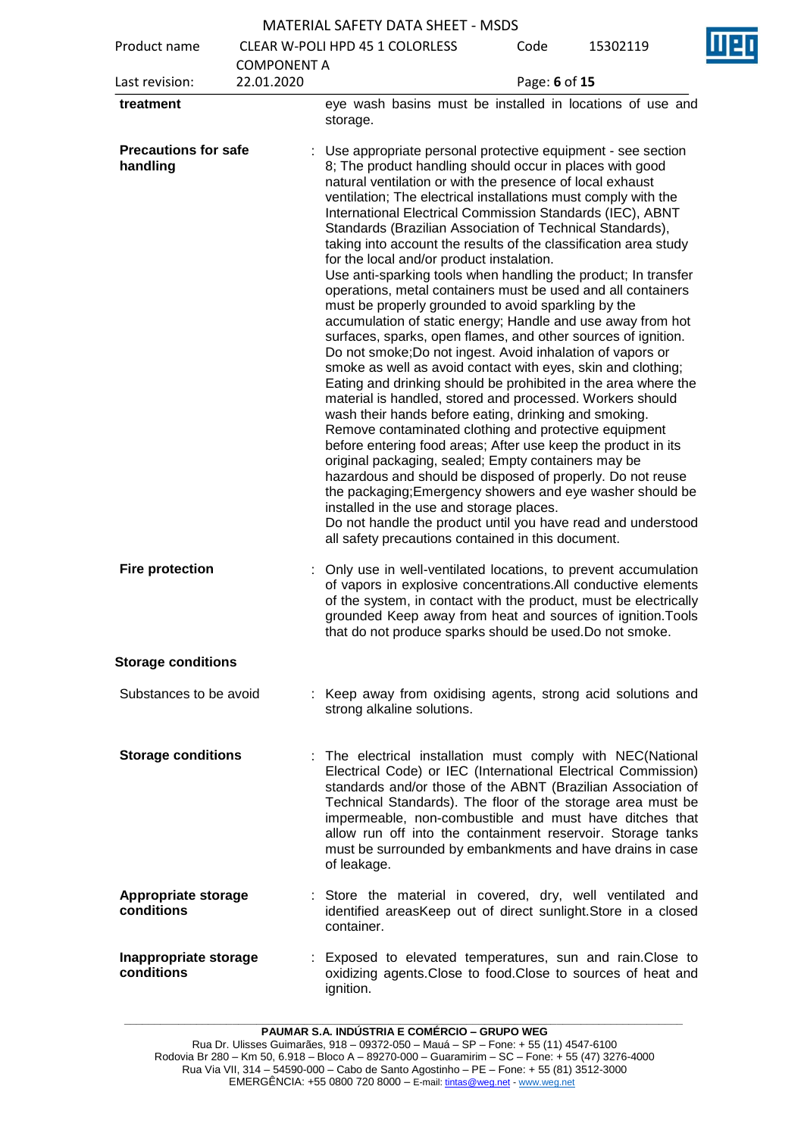Product name CLEAR W-POLI HPD 45 1 COLORLESS

| Product name                             |                                  | <b>CLEAR W-POLI HPD 45 1 COLORLESS</b>                                                                                                                                                                                                                                                                                                                                                                                                                                                                                                                                                                                                                                                                                                                                                                                                                                                                                                                                                                                                                                                                                                                                                                                                                                                                                                                                                                                                                                                                                                                                                                                         | Code          | 15302119 | Ш |
|------------------------------------------|----------------------------------|--------------------------------------------------------------------------------------------------------------------------------------------------------------------------------------------------------------------------------------------------------------------------------------------------------------------------------------------------------------------------------------------------------------------------------------------------------------------------------------------------------------------------------------------------------------------------------------------------------------------------------------------------------------------------------------------------------------------------------------------------------------------------------------------------------------------------------------------------------------------------------------------------------------------------------------------------------------------------------------------------------------------------------------------------------------------------------------------------------------------------------------------------------------------------------------------------------------------------------------------------------------------------------------------------------------------------------------------------------------------------------------------------------------------------------------------------------------------------------------------------------------------------------------------------------------------------------------------------------------------------------|---------------|----------|---|
| Last revision:                           | <b>COMPONENT A</b><br>22.01.2020 |                                                                                                                                                                                                                                                                                                                                                                                                                                                                                                                                                                                                                                                                                                                                                                                                                                                                                                                                                                                                                                                                                                                                                                                                                                                                                                                                                                                                                                                                                                                                                                                                                                | Page: 6 of 15 |          |   |
| treatment                                |                                  | eye wash basins must be installed in locations of use and<br>storage.                                                                                                                                                                                                                                                                                                                                                                                                                                                                                                                                                                                                                                                                                                                                                                                                                                                                                                                                                                                                                                                                                                                                                                                                                                                                                                                                                                                                                                                                                                                                                          |               |          |   |
| <b>Precautions for safe</b><br>handling  |                                  | Use appropriate personal protective equipment - see section<br>8; The product handling should occur in places with good<br>natural ventilation or with the presence of local exhaust<br>ventilation; The electrical installations must comply with the<br>International Electrical Commission Standards (IEC), ABNT<br>Standards (Brazilian Association of Technical Standards),<br>taking into account the results of the classification area study<br>for the local and/or product instalation.<br>Use anti-sparking tools when handling the product; In transfer<br>operations, metal containers must be used and all containers<br>must be properly grounded to avoid sparkling by the<br>accumulation of static energy; Handle and use away from hot<br>surfaces, sparks, open flames, and other sources of ignition.<br>Do not smoke; Do not ingest. Avoid inhalation of vapors or<br>smoke as well as avoid contact with eyes, skin and clothing;<br>Eating and drinking should be prohibited in the area where the<br>material is handled, stored and processed. Workers should<br>wash their hands before eating, drinking and smoking.<br>Remove contaminated clothing and protective equipment<br>before entering food areas; After use keep the product in its<br>original packaging, sealed; Empty containers may be<br>hazardous and should be disposed of properly. Do not reuse<br>the packaging; Emergency showers and eye washer should be<br>installed in the use and storage places.<br>Do not handle the product until you have read and understood<br>all safety precautions contained in this document. |               |          |   |
| <b>Fire protection</b>                   |                                  | : Only use in well-ventilated locations, to prevent accumulation<br>of vapors in explosive concentrations. All conductive elements<br>of the system, in contact with the product, must be electrically<br>grounded Keep away from heat and sources of ignition. Tools<br>that do not produce sparks should be used. Do not smoke.                                                                                                                                                                                                                                                                                                                                                                                                                                                                                                                                                                                                                                                                                                                                                                                                                                                                                                                                                                                                                                                                                                                                                                                                                                                                                              |               |          |   |
| <b>Storage conditions</b>                |                                  |                                                                                                                                                                                                                                                                                                                                                                                                                                                                                                                                                                                                                                                                                                                                                                                                                                                                                                                                                                                                                                                                                                                                                                                                                                                                                                                                                                                                                                                                                                                                                                                                                                |               |          |   |
| Substances to be avoid                   |                                  | : Keep away from oxidising agents, strong acid solutions and<br>strong alkaline solutions.                                                                                                                                                                                                                                                                                                                                                                                                                                                                                                                                                                                                                                                                                                                                                                                                                                                                                                                                                                                                                                                                                                                                                                                                                                                                                                                                                                                                                                                                                                                                     |               |          |   |
| <b>Storage conditions</b>                |                                  | : The electrical installation must comply with NEC(National<br>Electrical Code) or IEC (International Electrical Commission)<br>standards and/or those of the ABNT (Brazilian Association of<br>Technical Standards). The floor of the storage area must be<br>impermeable, non-combustible and must have ditches that<br>allow run off into the containment reservoir. Storage tanks<br>must be surrounded by embankments and have drains in case<br>of leakage.                                                                                                                                                                                                                                                                                                                                                                                                                                                                                                                                                                                                                                                                                                                                                                                                                                                                                                                                                                                                                                                                                                                                                              |               |          |   |
| <b>Appropriate storage</b><br>conditions |                                  | : Store the material in covered, dry, well ventilated and<br>identified areasKeep out of direct sunlight. Store in a closed<br>container.                                                                                                                                                                                                                                                                                                                                                                                                                                                                                                                                                                                                                                                                                                                                                                                                                                                                                                                                                                                                                                                                                                                                                                                                                                                                                                                                                                                                                                                                                      |               |          |   |
| Inappropriate storage<br>conditions      |                                  | : Exposed to elevated temperatures, sun and rain. Close to<br>oxidizing agents. Close to food. Close to sources of heat and<br>ignition.                                                                                                                                                                                                                                                                                                                                                                                                                                                                                                                                                                                                                                                                                                                                                                                                                                                                                                                                                                                                                                                                                                                                                                                                                                                                                                                                                                                                                                                                                       |               |          |   |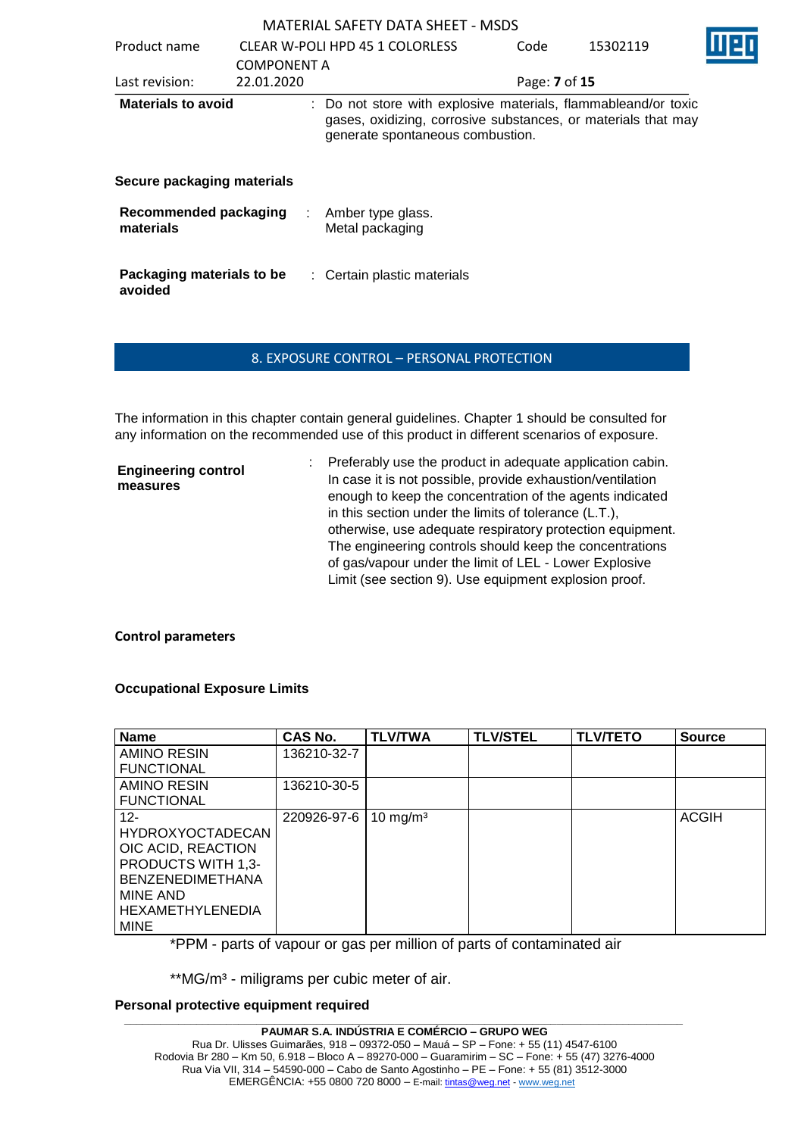| Product name                              | <b>COMPONENT A</b> | CLEAR W-POLI HPD 45 1 COLORLESS                                                                                                                                     | Code          | 15302119 |  |
|-------------------------------------------|--------------------|---------------------------------------------------------------------------------------------------------------------------------------------------------------------|---------------|----------|--|
| Last revision:                            | 22.01.2020         |                                                                                                                                                                     | Page: 7 of 15 |          |  |
| <b>Materials to avoid</b>                 |                    | : Do not store with explosive materials, flammableand/or toxic<br>gases, oxidizing, corrosive substances, or materials that may<br>generate spontaneous combustion. |               |          |  |
| Secure packaging materials                |                    |                                                                                                                                                                     |               |          |  |
| <b>Recommended packaging</b><br>materials | ÷                  | Amber type glass.<br>Metal packaging                                                                                                                                |               |          |  |
| Packaging materials to be<br>avoided      |                    | : Certain plastic materials                                                                                                                                         |               |          |  |

## 8. EXPOSURE CONTROL – PERSONAL PROTECTION

The information in this chapter contain general guidelines. Chapter 1 should be consulted for any information on the recommended use of this product in different scenarios of exposure.

| <b>Engineering control</b><br>measures | : Preferably use the product in adequate application cabin.<br>In case it is not possible, provide exhaustion/ventilation<br>enough to keep the concentration of the agents indicated<br>in this section under the limits of tolerance (L.T.),<br>otherwise, use adequate respiratory protection equipment.<br>The engineering controls should keep the concentrations<br>of gas/vapour under the limit of LEL - Lower Explosive |
|----------------------------------------|----------------------------------------------------------------------------------------------------------------------------------------------------------------------------------------------------------------------------------------------------------------------------------------------------------------------------------------------------------------------------------------------------------------------------------|
|                                        | Limit (see section 9). Use equipment explosion proof.                                                                                                                                                                                                                                                                                                                                                                            |

## **Control parameters**

## **Occupational Exposure Limits**

| <b>Name</b>               | <b>CAS No.</b> | <b>TLV/TWA</b>      | <b>TLV/STEL</b> | <b>TLV/TETO</b> | <b>Source</b> |
|---------------------------|----------------|---------------------|-----------------|-----------------|---------------|
| AMINO RESIN               | 136210-32-7    |                     |                 |                 |               |
| <b>FUNCTIONAL</b>         |                |                     |                 |                 |               |
| AMINO RESIN               | 136210-30-5    |                     |                 |                 |               |
| <b>FUNCTIONAL</b>         |                |                     |                 |                 |               |
| $12 -$                    | 220926-97-6    | $10 \text{ mg/m}^3$ |                 |                 | <b>ACGIH</b>  |
| <b>HYDROXYOCTADECAN</b>   |                |                     |                 |                 |               |
| OIC ACID, REACTION        |                |                     |                 |                 |               |
| <b>PRODUCTS WITH 1,3-</b> |                |                     |                 |                 |               |
| <b>BENZENEDIMETHANA</b>   |                |                     |                 |                 |               |
| MINE AND                  |                |                     |                 |                 |               |
| <b>HEXAMETHYLENEDIA</b>   |                |                     |                 |                 |               |
| <b>MINE</b>               |                |                     |                 |                 |               |

\*PPM - parts of vapour or gas per million of parts of contaminated air

\*\*MG/m<sup>3</sup> - miligrams per cubic meter of air.

## **Personal protective equipment required**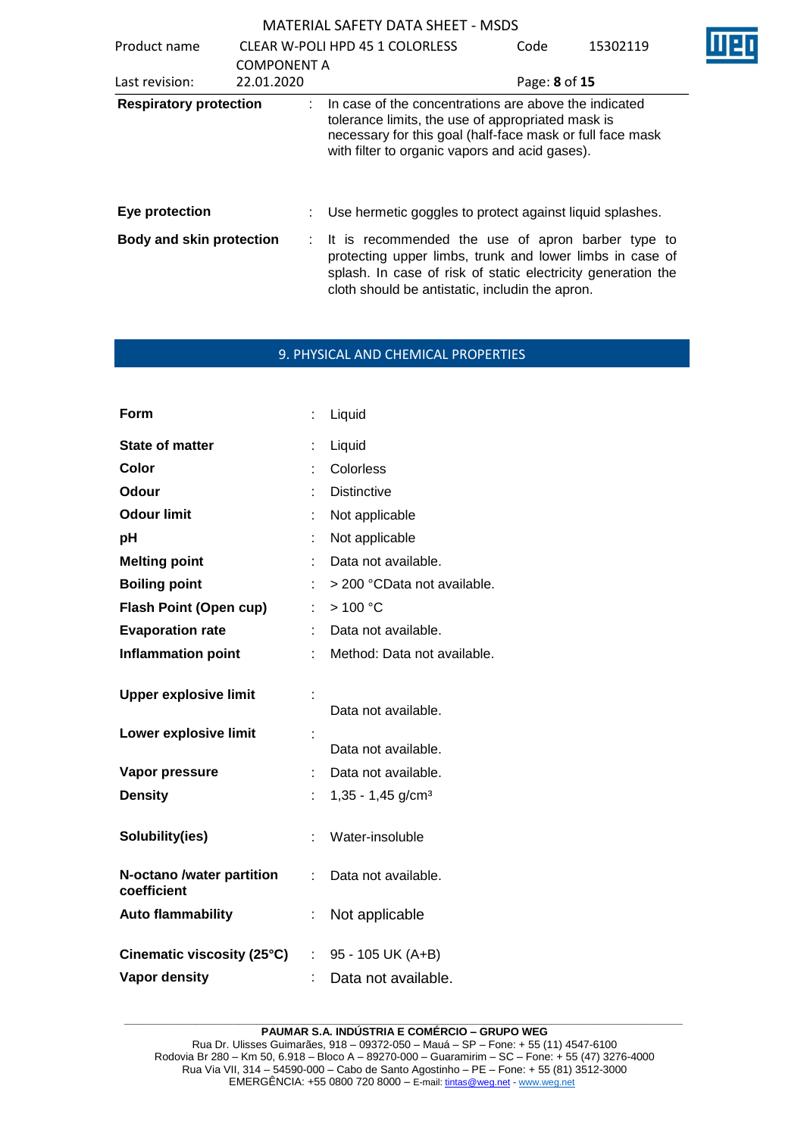| Product name                    |                                  | <b>CLEAR W-POLI HPD 45 1 COLORLESS</b>                                                                                                                                                                                             | Code          | 15302119 |
|---------------------------------|----------------------------------|------------------------------------------------------------------------------------------------------------------------------------------------------------------------------------------------------------------------------------|---------------|----------|
| Last revision:                  | <b>COMPONENT A</b><br>22.01.2020 |                                                                                                                                                                                                                                    | Page: 8 of 15 |          |
| <b>Respiratory protection</b>   |                                  | : In case of the concentrations are above the indicated<br>tolerance limits, the use of appropriated mask is<br>necessary for this goal (half-face mask or full face mask<br>with filter to organic vapors and acid gases).        |               |          |
| Eye protection                  |                                  | : Use hermetic goggles to protect against liquid splashes.                                                                                                                                                                         |               |          |
| <b>Body and skin protection</b> |                                  | : It is recommended the use of apron barber type to<br>protecting upper limbs, trunk and lower limbs in case of<br>splash. In case of risk of static electricity generation the<br>cloth should be antistatic, includin the apron. |               |          |

## 9. PHYSICAL AND CHEMICAL PROPERTIES

| Liquid                          |
|---------------------------------|
| Colorless                       |
| <b>Distinctive</b>              |
| Not applicable                  |
| Not applicable                  |
| Data not available.             |
| > 200 °CData not available.     |
| : $>100 °C$                     |
| Data not available.             |
| Method: Data not available.     |
| Data not available.             |
| Data not available.             |
| Data not available.             |
| $1,35 - 1,45$ g/cm <sup>3</sup> |
| Water-insoluble                 |
| Data not available.             |
| Not applicable                  |
|                                 |
| $: 95 - 105$ UK (A+B)           |
|                                 |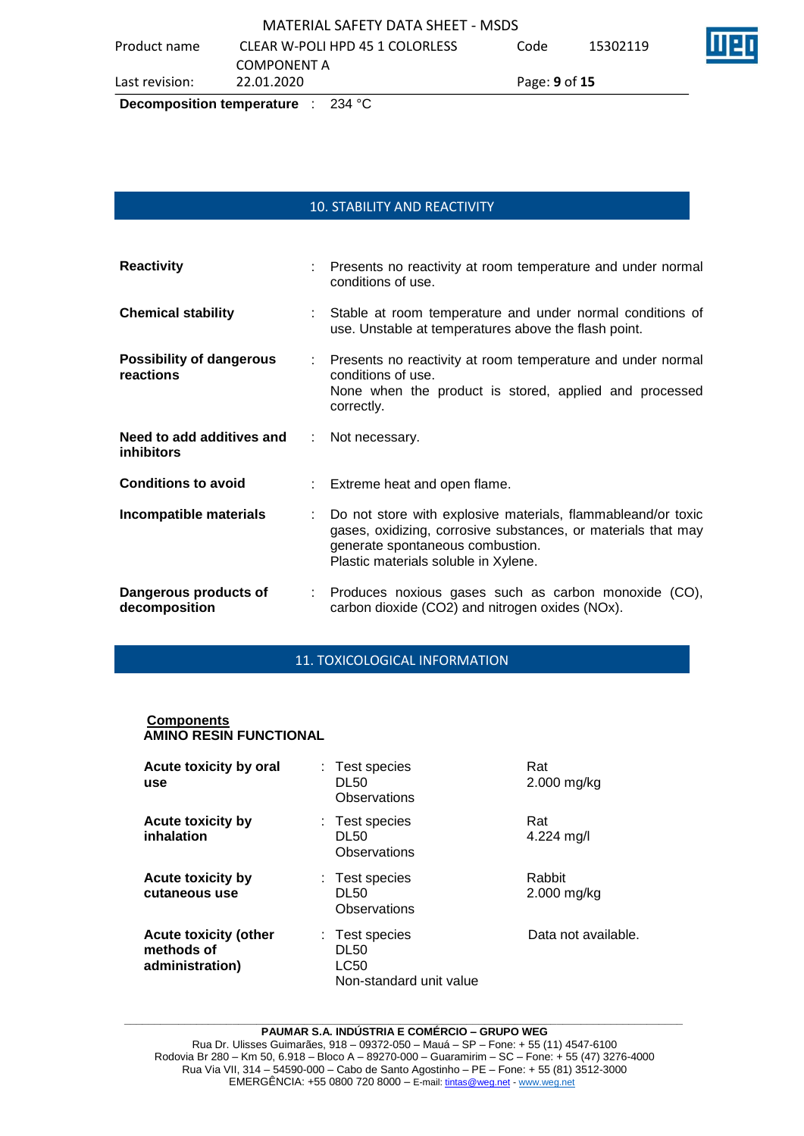|                | Desamusaalisu tampanatusa<br>0.2100 |               |          |  |
|----------------|-------------------------------------|---------------|----------|--|
| Last revision: | 22.01.2020                          | Page: 9 of 15 |          |  |
|                | <b>COMPONENT A</b>                  |               |          |  |
| Product name   | CLEAR W-POLI HPD 45 1 COLORLESS     | Code          | 15302119 |  |
|                | MATERIAL SAFETY DATA SHEET - MSDS   |               |          |  |

## **Decomposition temperature** : 234 °C

# 10. STABILITY AND REACTIVITY

| <b>Reactivity</b>                              |    | Presents no reactivity at room temperature and under normal<br>conditions of use.                                                                                                                         |
|------------------------------------------------|----|-----------------------------------------------------------------------------------------------------------------------------------------------------------------------------------------------------------|
| <b>Chemical stability</b>                      | ÷  | Stable at room temperature and under normal conditions of<br>use. Unstable at temperatures above the flash point.                                                                                         |
| <b>Possibility of dangerous</b><br>reactions   | t. | Presents no reactivity at room temperature and under normal<br>conditions of use.<br>None when the product is stored, applied and processed<br>correctly.                                                 |
| Need to add additives and<br><b>inhibitors</b> | ÷. | Not necessary.                                                                                                                                                                                            |
| <b>Conditions to avoid</b>                     |    | Extreme heat and open flame.                                                                                                                                                                              |
| Incompatible materials                         |    | Do not store with explosive materials, flammableand/or toxic<br>gases, oxidizing, corrosive substances, or materials that may<br>generate spontaneous combustion.<br>Plastic materials soluble in Xylene. |
| Dangerous products of<br>decomposition         |    | Produces noxious gases such as carbon monoxide (CO),<br>carbon dioxide (CO2) and nitrogen oxides (NOx).                                                                                                   |

## 11. TOXICOLOGICAL INFORMATION

## **Components AMINO RESIN FUNCTIONAL**

| Acute toxicity by oral<br>use                                 | : Test species<br>DL50<br>Observations                           | Rat<br>$2.000$ mg/kg    |
|---------------------------------------------------------------|------------------------------------------------------------------|-------------------------|
| <b>Acute toxicity by</b><br>inhalation                        | : Test species<br>DL50<br>Observations                           | Rat<br>4.224 mg/l       |
| <b>Acute toxicity by</b><br>cutaneous use                     | : Test species<br><b>DL50</b><br>Observations                    | Rabbit<br>$2.000$ mg/kg |
| <b>Acute toxicity (other</b><br>methods of<br>administration) | : Test species<br><b>DL50</b><br>LC50<br>Non-standard unit value | Data not available.     |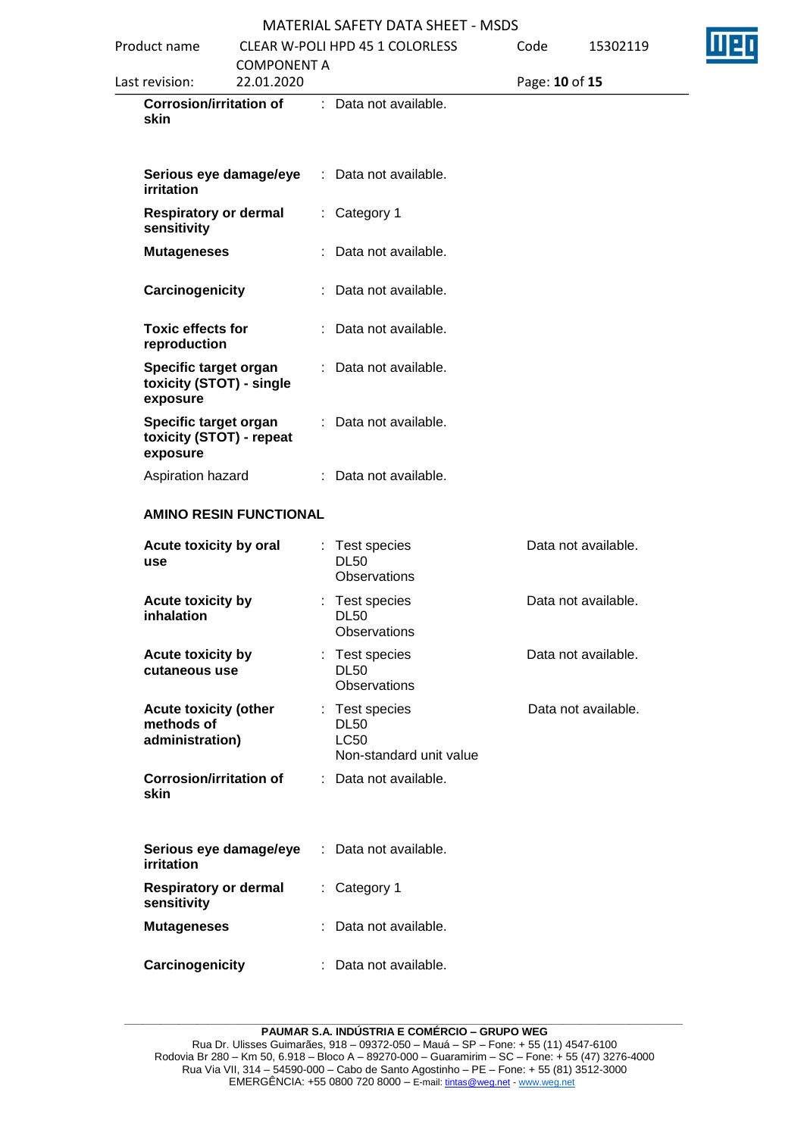| Product name                                                  |                                  | <b>CLEAR W-POLI HPD 45 1 COLORLESS</b>                                  | Code |                | 15302119            |  |
|---------------------------------------------------------------|----------------------------------|-------------------------------------------------------------------------|------|----------------|---------------------|--|
| Last revision:                                                | <b>COMPONENT A</b><br>22.01.2020 |                                                                         |      | Page: 10 of 15 |                     |  |
| <b>Corrosion/irritation of</b><br>skin                        |                                  | : Data not available.                                                   |      |                |                     |  |
| Serious eye damage/eye<br>irritation                          |                                  | : Data not available.                                                   |      |                |                     |  |
| <b>Respiratory or dermal</b><br>sensitivity                   |                                  | : Category 1                                                            |      |                |                     |  |
| <b>Mutageneses</b>                                            |                                  | : Data not available.                                                   |      |                |                     |  |
| Carcinogenicity                                               |                                  | : Data not available.                                                   |      |                |                     |  |
| <b>Toxic effects for</b><br>reproduction                      |                                  | : Data not available.                                                   |      |                |                     |  |
| Specific target organ<br>toxicity (STOT) - single<br>exposure |                                  | : Data not available.                                                   |      |                |                     |  |
| Specific target organ<br>toxicity (STOT) - repeat<br>exposure |                                  | : Data not available.                                                   |      |                |                     |  |
| Aspiration hazard                                             |                                  | : Data not available.                                                   |      |                |                     |  |
|                                                               | <b>AMINO RESIN FUNCTIONAL</b>    |                                                                         |      |                |                     |  |
| Acute toxicity by oral<br>use                                 |                                  | : Test species<br><b>DL50</b><br>Observations                           |      |                | Data not available. |  |
| Acute toxicity by<br>inhalation                               |                                  | : Test species<br><b>DL50</b><br>Observations                           |      |                | Data not available. |  |
| Acute toxicity by<br>cutaneous use                            |                                  | : Test species<br><b>DL50</b><br>Observations                           |      |                | Data not available. |  |
| <b>Acute toxicity (other</b><br>methods of<br>administration) |                                  | : Test species<br><b>DL50</b><br><b>LC50</b><br>Non-standard unit value |      |                | Data not available. |  |
| <b>Corrosion/irritation of</b><br><b>skin</b>                 |                                  | : Data not available.                                                   |      |                |                     |  |
| Serious eye damage/eye<br><b>irritation</b>                   |                                  | : Data not available.                                                   |      |                |                     |  |
| <b>Respiratory or dermal</b><br>sensitivity                   |                                  | : Category 1                                                            |      |                |                     |  |
| <b>Mutageneses</b>                                            |                                  | : Data not available.                                                   |      |                |                     |  |
| Carcinogenicity                                               |                                  | : Data not available.                                                   |      |                |                     |  |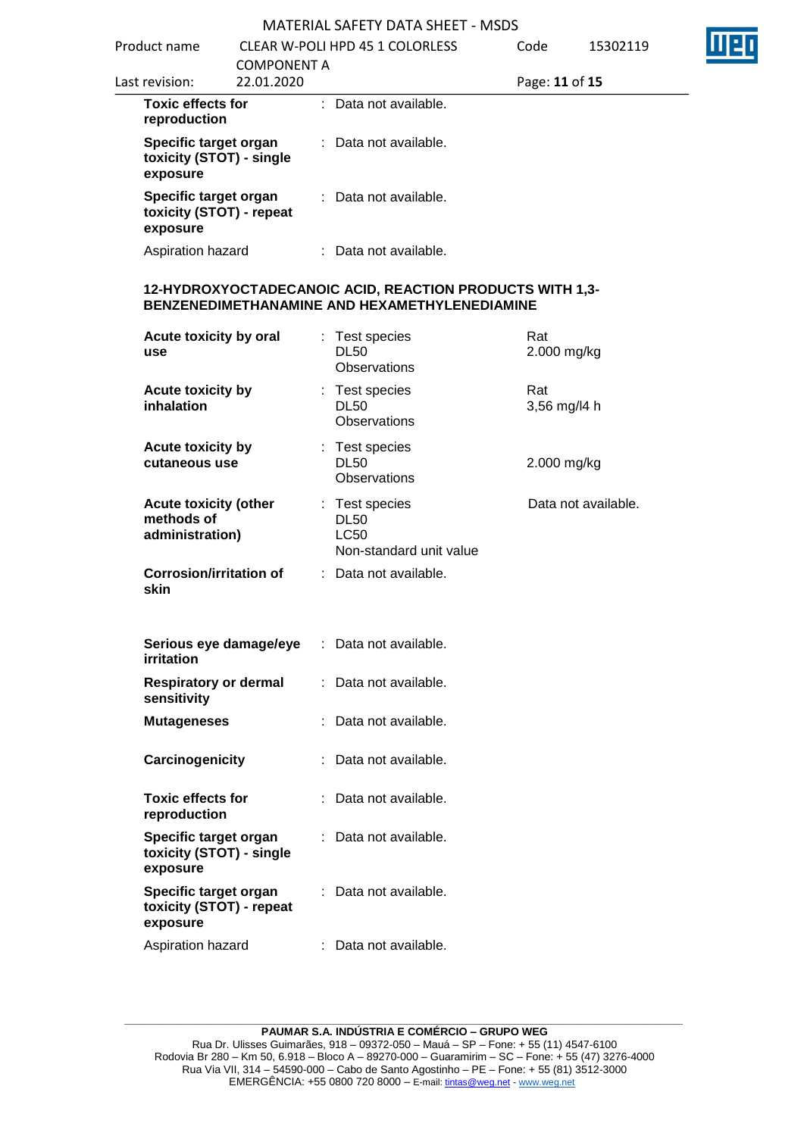|                                                               |                                  | MATERIAL SAFETY DATA SHEET - MSDS                                                                         |                     |
|---------------------------------------------------------------|----------------------------------|-----------------------------------------------------------------------------------------------------------|---------------------|
| Product name                                                  |                                  | <b>CLEAR W-POLI HPD 45 1 COLORLESS</b>                                                                    | Code<br>15302119    |
| Last revision:                                                | <b>COMPONENT A</b><br>22.01.2020 |                                                                                                           | Page: 11 of 15      |
| <b>Toxic effects for</b><br>reproduction                      |                                  | : Data not available.                                                                                     |                     |
| Specific target organ<br>toxicity (STOT) - single<br>exposure |                                  | : Data not available.                                                                                     |                     |
| Specific target organ<br>toxicity (STOT) - repeat<br>exposure |                                  | : Data not available.                                                                                     |                     |
| Aspiration hazard                                             |                                  | : Data not available.                                                                                     |                     |
|                                                               |                                  | 12-HYDROXYOCTADECANOIC ACID, REACTION PRODUCTS WITH 1,3-<br>BENZENEDIMETHANAMINE AND HEXAMETHYLENEDIAMINE |                     |
| Acute toxicity by oral<br>use                                 |                                  | : Test species<br><b>DL50</b><br><b>Observations</b>                                                      | Rat<br>2.000 mg/kg  |
| Acute toxicity by<br>inhalation                               |                                  | : Test species<br><b>DL50</b><br><b>Observations</b>                                                      | Rat<br>3,56 mg/l4 h |
| Acute toxicity by<br>cutaneous use                            |                                  | : Test species<br><b>DL50</b><br>Observations                                                             | 2.000 mg/kg         |
| <b>Acute toxicity (other</b><br>methods of<br>administration) |                                  | : Test species<br><b>DL50</b><br><b>LC50</b><br>Non-standard unit value                                   | Data not available. |
| <b>Corrosion/irritation of</b><br>skin                        |                                  | Data not available.                                                                                       |                     |
| Serious eye damage/eye<br><b>irritation</b>                   |                                  | : Data not available.                                                                                     |                     |
| <b>Respiratory or dermal</b><br>sensitivity                   |                                  | Data not available.<br>t.                                                                                 |                     |
| <b>Mutageneses</b>                                            |                                  | Data not available.                                                                                       |                     |
| Carcinogenicity                                               |                                  | Data not available.                                                                                       |                     |
| <b>Toxic effects for</b><br>reproduction                      |                                  | : Data not available.                                                                                     |                     |
| Specific target organ<br>toxicity (STOT) - single<br>exposure |                                  | Data not available.                                                                                       |                     |
| Specific target organ<br>toxicity (STOT) - repeat<br>exposure |                                  | Data not available.                                                                                       |                     |
| Aspiration hazard                                             |                                  | Data not available.                                                                                       |                     |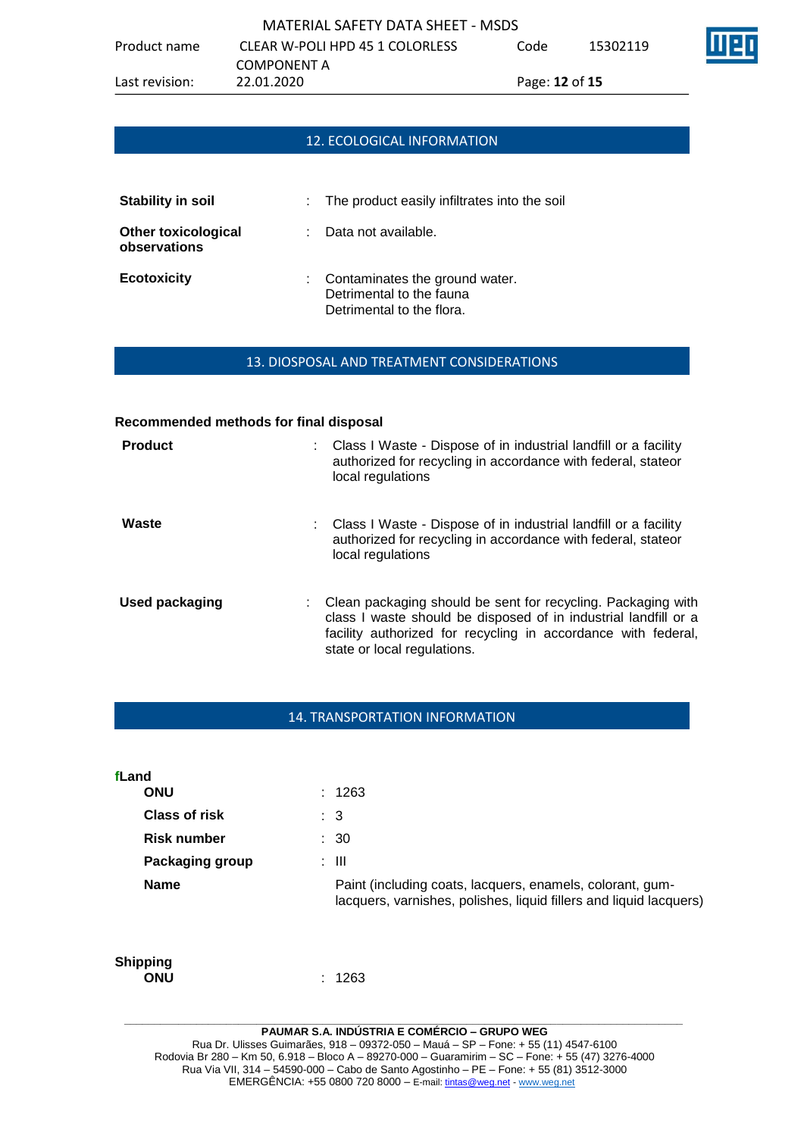# 12. ECOLOGICAL INFORMATION

| <b>Stability in soil</b>                   | : The product easily infiltrates into the soil                                            |
|--------------------------------------------|-------------------------------------------------------------------------------------------|
| <b>Other toxicological</b><br>observations | Data not available.                                                                       |
| <b>Ecotoxicity</b>                         | : Contaminates the ground water.<br>Detrimental to the fauna<br>Detrimental to the flora. |

## 13. DIOSPOSAL AND TREATMENT CONSIDERATIONS

| Recommended methods for final disposal |   |                                                                                                                                                                                                                                 |
|----------------------------------------|---|---------------------------------------------------------------------------------------------------------------------------------------------------------------------------------------------------------------------------------|
| <b>Product</b>                         |   | : Class I Waste - Dispose of in industrial landfill or a facility<br>authorized for recycling in accordance with federal, stateor<br>local regulations                                                                          |
| Waste                                  |   | : Class I Waste - Dispose of in industrial landfill or a facility<br>authorized for recycling in accordance with federal, stateor<br>local regulations                                                                          |
| Used packaging                         | ÷ | Clean packaging should be sent for recycling. Packaging with<br>class I waste should be disposed of in industrial landfill or a<br>facility authorized for recycling in accordance with federal,<br>state or local regulations. |

## 14. TRANSPORTATION INFORMATION

**fLand**

| ONU                  | : 1263                                                                                                                          |
|----------------------|---------------------------------------------------------------------------------------------------------------------------------|
| <b>Class of risk</b> | : 3                                                                                                                             |
| Risk number          | : 30                                                                                                                            |
| Packaging group      | : III                                                                                                                           |
| <b>Name</b>          | Paint (including coats, lacquers, enamels, colorant, gum-<br>lacquers, varnishes, polishes, liquid fillers and liquid lacquers) |

# **Shipping**

**ONU** : 1263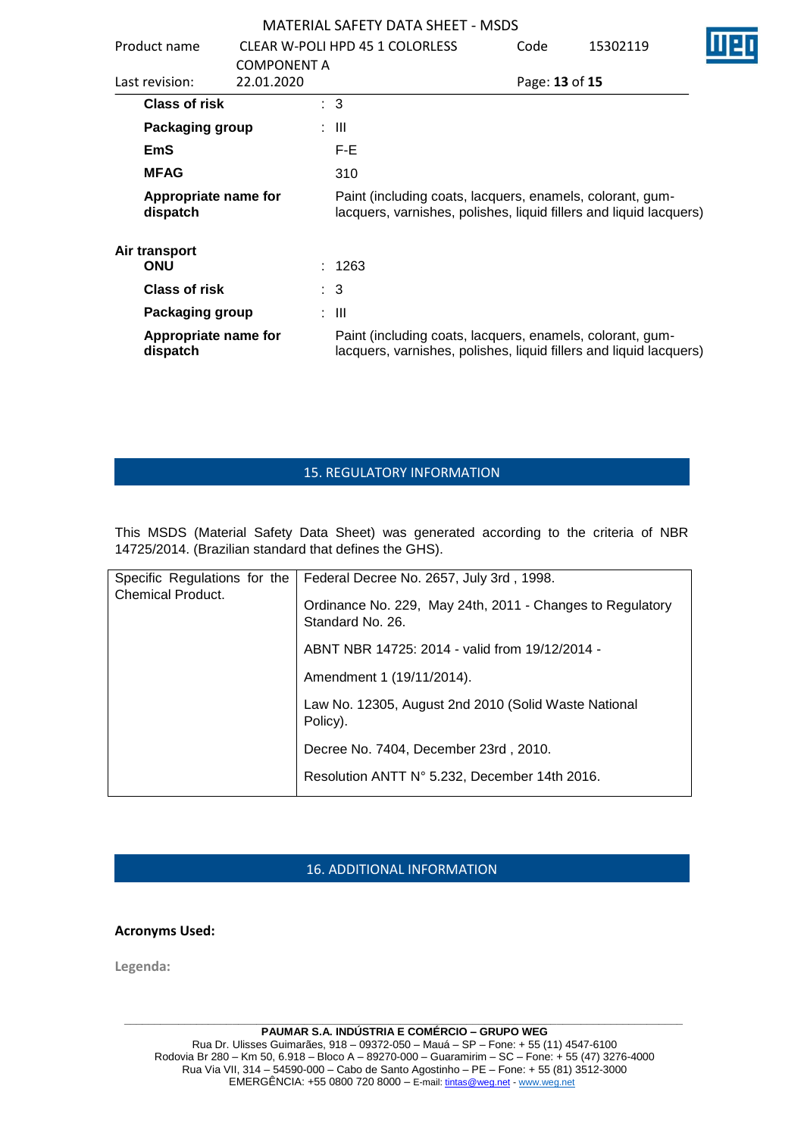| Product name                     |                                  |  | CLEAR W-POLI HPD 45 1 COLORLESS                                                                                                 | Code | 15302119       |  |
|----------------------------------|----------------------------------|--|---------------------------------------------------------------------------------------------------------------------------------|------|----------------|--|
| Last revision:                   | <b>COMPONENT A</b><br>22.01.2020 |  |                                                                                                                                 |      | Page: 13 of 15 |  |
| <b>Class of risk</b>             |                                  |  | $\therefore$ 3                                                                                                                  |      |                |  |
| Packaging group                  |                                  |  | : III                                                                                                                           |      |                |  |
| <b>EmS</b>                       |                                  |  | F-E                                                                                                                             |      |                |  |
| <b>MFAG</b>                      |                                  |  | 310                                                                                                                             |      |                |  |
| Appropriate name for<br>dispatch |                                  |  | Paint (including coats, lacquers, enamels, colorant, gum-<br>lacquers, varnishes, polishes, liquid fillers and liquid lacquers) |      |                |  |
| Air transport<br><b>ONU</b>      |                                  |  | : 1263                                                                                                                          |      |                |  |
| <b>Class of risk</b>             |                                  |  | $\therefore$ 3                                                                                                                  |      |                |  |
|                                  |                                  |  |                                                                                                                                 |      |                |  |
| Packaging group                  |                                  |  | : III                                                                                                                           |      |                |  |
| Appropriate name for<br>dispatch |                                  |  | Paint (including coats, lacquers, enamels, colorant, gum-<br>lacquers, varnishes, polishes, liquid fillers and liquid lacquers) |      |                |  |

# 15. REGULATORY INFORMATION

This MSDS (Material Safety Data Sheet) was generated according to the criteria of NBR 14725/2014. (Brazilian standard that defines the GHS).

| Specific Regulations for the<br><b>Chemical Product.</b> | Federal Decree No. 2657, July 3rd, 1998.                                      |  |  |
|----------------------------------------------------------|-------------------------------------------------------------------------------|--|--|
|                                                          | Ordinance No. 229, May 24th, 2011 - Changes to Regulatory<br>Standard No. 26. |  |  |
|                                                          | ABNT NBR 14725: 2014 - valid from 19/12/2014 -                                |  |  |
|                                                          | Amendment 1 (19/11/2014).                                                     |  |  |
|                                                          | Law No. 12305, August 2nd 2010 (Solid Waste National<br>Policy).              |  |  |
|                                                          | Decree No. 7404, December 23rd, 2010.                                         |  |  |
|                                                          | Resolution ANTT N° 5.232, December 14th 2016.                                 |  |  |

# 16. ADDITIONAL INFORMATION

**Acronyms Used:**

**Legenda:**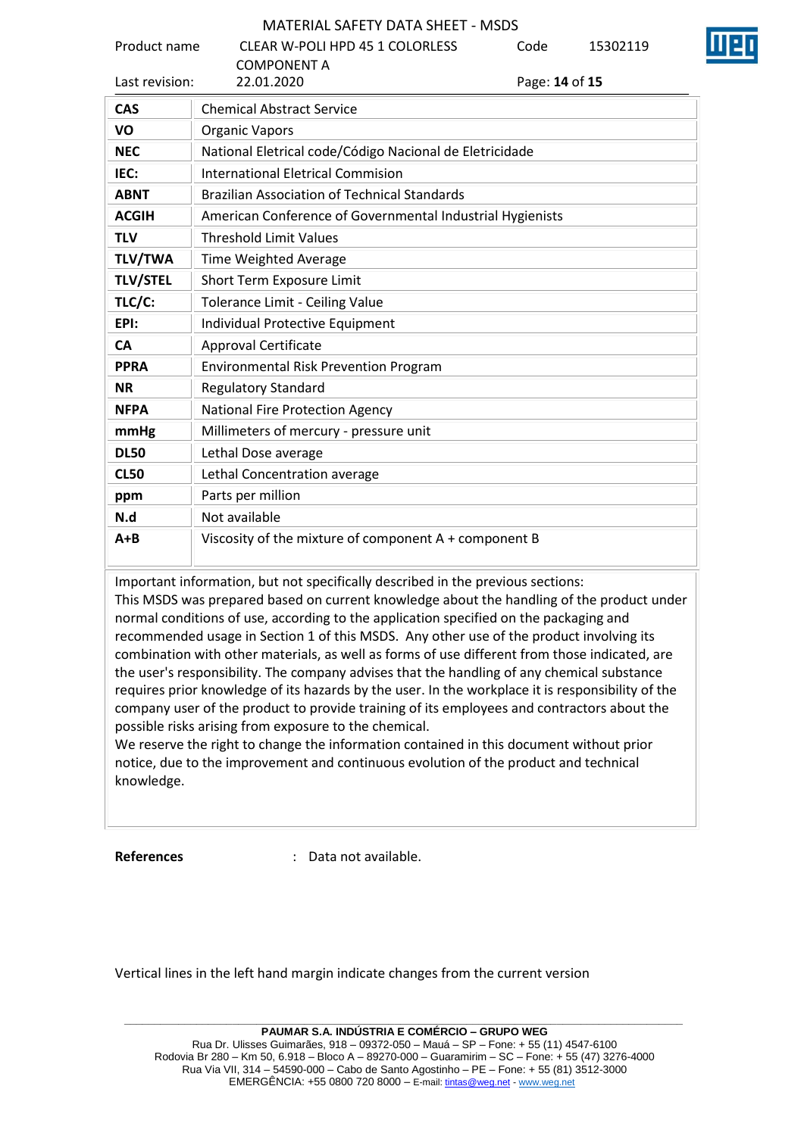| Product name    | <b>CLEAR W-POLI HPD 45 1 COLORLESS</b>                    | Code           | 15302119 |  |  |  |  |
|-----------------|-----------------------------------------------------------|----------------|----------|--|--|--|--|
|                 | <b>COMPONENT A</b>                                        |                |          |  |  |  |  |
| Last revision:  | 22.01.2020                                                | Page: 14 of 15 |          |  |  |  |  |
| <b>CAS</b>      | <b>Chemical Abstract Service</b>                          |                |          |  |  |  |  |
| VO              | <b>Organic Vapors</b>                                     |                |          |  |  |  |  |
| <b>NEC</b>      | National Eletrical code/Código Nacional de Eletricidade   |                |          |  |  |  |  |
| IEC:            | <b>International Eletrical Commision</b>                  |                |          |  |  |  |  |
| <b>ABNT</b>     | <b>Brazilian Association of Technical Standards</b>       |                |          |  |  |  |  |
| <b>ACGIH</b>    | American Conference of Governmental Industrial Hygienists |                |          |  |  |  |  |
| <b>TLV</b>      | <b>Threshold Limit Values</b>                             |                |          |  |  |  |  |
| <b>TLV/TWA</b>  | Time Weighted Average                                     |                |          |  |  |  |  |
| <b>TLV/STEL</b> | <b>Short Term Exposure Limit</b>                          |                |          |  |  |  |  |
| TLC/C:          | Tolerance Limit - Ceiling Value                           |                |          |  |  |  |  |
| EPI:            | Individual Protective Equipment                           |                |          |  |  |  |  |
| <b>CA</b>       | <b>Approval Certificate</b>                               |                |          |  |  |  |  |
| <b>PPRA</b>     | <b>Environmental Risk Prevention Program</b>              |                |          |  |  |  |  |
| <b>NR</b>       | <b>Regulatory Standard</b>                                |                |          |  |  |  |  |
| <b>NFPA</b>     | <b>National Fire Protection Agency</b>                    |                |          |  |  |  |  |
| mmHg            | Millimeters of mercury - pressure unit                    |                |          |  |  |  |  |
| <b>DL50</b>     | Lethal Dose average                                       |                |          |  |  |  |  |
| <b>CL50</b>     | Lethal Concentration average                              |                |          |  |  |  |  |
| ppm             | Parts per million                                         |                |          |  |  |  |  |
| N.d             | Not available                                             |                |          |  |  |  |  |
| $A + B$         | Viscosity of the mixture of component A + component B     |                |          |  |  |  |  |

Important information, but not specifically described in the previous sections:

This MSDS was prepared based on current knowledge about the handling of the product under normal conditions of use, according to the application specified on the packaging and recommended usage in Section 1 of this MSDS. Any other use of the product involving its combination with other materials, as well as forms of use different from those indicated, are the user's responsibility. The company advises that the handling of any chemical substance requires prior knowledge of its hazards by the user. In the workplace it is responsibility of the company user of the product to provide training of its employees and contractors about the possible risks arising from exposure to the chemical.

We reserve the right to change the information contained in this document without prior notice, due to the improvement and continuous evolution of the product and technical knowledge.

**References** : Data not available.

Vertical lines in the left hand margin indicate changes from the current version